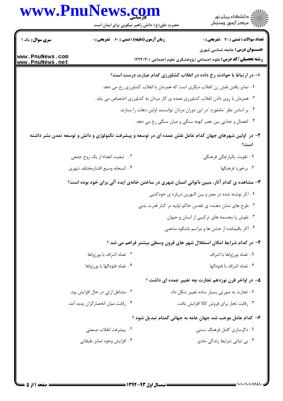## www.PnuNews.com



حضرت علی(ع): دانش راهبر نیکویی برای ایمان است

| <b>سری سوال :</b> یک ۱             |                                     | <b>زمان آزمون (دقیقه) : تستی : 60 ٪ تشریحی : 0</b> | <b>نعداد سوالات : تستی : 30 ٪ تشریحی : 0</b>                                                                    |
|------------------------------------|-------------------------------------|----------------------------------------------------|-----------------------------------------------------------------------------------------------------------------|
| www.PnuNews.com<br>www.PnuNews.net |                                     |                                                    | <b>عنـــوان درس:</b> جامعه شناسی شهری<br><b>رشته تحصیلی/کد درس:</b> علوم اجتماعی (پژوهشگری علوم اجتماعی )۲۲۲۰۳۰ |
|                                    |                                     |                                                    | ا- در ارتباط با حوادث رخ داده در انقلاب کشاورزی کدام عبارت درست است؟                                            |
|                                    |                                     |                                                    | ۰۱ تمایز یافتن نقش زن انقلاب دیگری است که همزمان با انقلاب کشاورزی رخ می دهد.                                   |
|                                    |                                     |                                                    | ۰۲ همزمان با روی دادن انقلاب کشاورزی عمده ی کار مردان به کشاورزی اختصاص می یابد .                               |
|                                    |                                     |                                                    | ۰۳ بر اساس نظر "مامفورد "در این دوران مردان توانستند اولین دهات را بسازند.                                      |
|                                    |                                     |                                                    | ۰۴ انفصال و جدایی بین عصر کهنه سنگی و میان سنگی رخ می دهد .                                                     |
|                                    |                                     |                                                    | ۲– در آولین شهرهای جهان کدام عامل نقش عمده ای در توسعه و پیشرفت تکنولوژی و دانش و توسعه تمدن بشر داشته<br>است؟  |
|                                    | ٢. تبعيت اعضاء از يک روح جمعي       |                                                    | ۰۱ تقویت یکپارچگی فرهنگی                                                                                        |
|                                    | ۰۴ انسجام وسيع اقشارمختلف شهرى      |                                                    | ۰۳ برخورد فرهنگها                                                                                               |
|                                    |                                     |                                                    | ۳- مشاهده ی کدام آثار، مبین ناتوانی انسان شهری در ساختن خانهی ایده آلی برای خود بوده است؟                       |
|                                    |                                     |                                                    | ۰۱ آثار نوشته شده در مصر و بین النهرین درباره ی خودکشی                                                          |
|                                    |                                     |                                                    | ۰۲ طرح های نشان دهنده ی تقدس حاکم اولیه در کنار قدرت بدنی                                                       |
|                                    |                                     |                                                    | ۰۳ نقوش یا مجسمه های ترکیبی از انسان و حیوان                                                                    |
|                                    |                                     |                                                    | ۰۴ آثار باقیمانده از جشن ها و مراسم باشکوه مذهبی                                                                |
|                                    |                                     |                                                    | ۴– در کدام شرایط امکان استقلال شهر های قرون وسطی بیشتر فراهم می شد ؟                                            |
|                                    | ۰۲ تضاد اشراف با بورژواها           |                                                    | ۰۱ تضاد بورژواها با اشراف                                                                                       |
|                                    | ۰۴ تضاد فئودالها با بورژواها        |                                                    | ٠٣ تضاد اشراف با فئودالها                                                                                       |
|                                    |                                     |                                                    | ۵– در اواخر قرن نوزدهم تجارت چه تغییر عمده ای داشت ؟                                                            |
|                                    | ۰۲ مشاغل ارثی در حال افزایش بود.    |                                                    | ٠١ تجارت به صورتي بسيار ساده تغيير شكل داد.                                                                     |
|                                    | ۰۴ رقابت ميان انحصار گران پديد آمد. |                                                    | ٠٣ رقابت تجار براي فروش كالا افزايش يافت.                                                                       |
|                                    |                                     |                                                    | ۶– کدام عامل موجب شد جهان عامه به جهانی گمنام تبدیل شود ؟                                                       |
|                                    | ٢.  پيشرفت انقلاب صنعتي             |                                                    | ۰۱ دگرسازی کامل فرهنگ سنتی                                                                                      |
|                                    | ۰۴ افزايش وجوه تمايز طبقاتي         |                                                    | ۰۳ بی ثباتی شرایط زندگی مادی                                                                                    |
|                                    |                                     |                                                    |                                                                                                                 |
|                                    |                                     |                                                    |                                                                                                                 |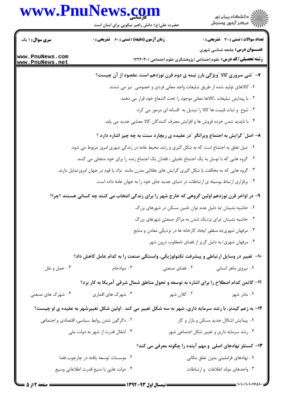## www.PnuNews.com



حضرت علی(ع): دانش راهبر نیکویی برای ایمان است

| <b>سری سوال : ۱ یک</b>             | <b>زمان آزمون (دقیقه) : تستی : 60 ٪ تشریحی : 0</b>                                                        |               | <b>تعداد سوالات : تستی : 30 ٪ تشریحی : 0</b>                                        |
|------------------------------------|-----------------------------------------------------------------------------------------------------------|---------------|-------------------------------------------------------------------------------------|
|                                    |                                                                                                           |               | <b>عنـــوان درس:</b> جامعه شناسی شهری                                               |
| www.PnuNews.com<br>www.PnuNews.net |                                                                                                           |               | <b>رشته تحصیلی/کد درس:</b> علوم اجتماعی (پژوهشگری علوم اجتماعی )۲۲۲۰۳۰              |
|                                    |                                                                                                           |               | ۷- "شی سروری کالا "ویژگی بارز نیمه ی دوم قرن نوزدهم است. مقصود از آن چیست؟          |
|                                    |                                                                                                           |               | ۰۱ کالاهای تولید شده از طریق تبلیغات واجد معانی فردی و خصوصی نیز می شدند.           |
|                                    |                                                                                                           |               | ٠٢ با پيدايش تبليغات ،كالاها معاني موجود را تحت الشعاع خود قرار مي دهند.            |
|                                    |                                                                                                           |               | ۰۳ تنوع و ثبات قیمت ها کالا را تبدیل به افسانه ای مرموز می کرد.                     |
|                                    |                                                                                                           |               | ۰۴ با ناپدید شدن خرده فروش ها و افزایش مصرف کنندگان کالا معنایی جدید می یابد.       |
|                                    |                                                                                                           |               | ۸- اصل ً گرایش به اجتماع ویرانگر آدر عقیده ی ریچارد سنت به چه چیز اشاره دارد ؟      |
|                                    | ۰۱ میل تعلق به اجتماع است که به شکل گیری و رشد محیط عامه در زندگی شهری امروز مربوط می شود.                |               |                                                                                     |
|                                    | ۰۲ گروه هایی که با توسل به یک اجتماع تخیلی ، فقدان یک اجتماع زنده را برای خود متجلی می کنند.              |               |                                                                                     |
|                                    | ۰۳ گروه هایی که به مخالفت با شکل گیری گرایش های عقلانی مدرن مانند  نژاد یا قوم در جهان امروز تمایل دارند. |               |                                                                                     |
|                                    |                                                                                                           |               | ۰۴ برقراری ارتباط بوسیله ی ارتباطات در دنیای جدید جای خود را به جهان عامه داده است. |
|                                    | ۹- در اواخر قرن نوزدهم اولین گروهی که خارج شهر را برای زندگی انتخاب می کنند چه کسانی هستند ؟چرا؟          |               |                                                                                     |
|                                    |                                                                                                           |               | ۰۱ حاشیه نشینان /به دلیل عدم توان تامین مسکن در شهرهای بزرگ                         |
|                                    |                                                                                                           |               | ۰۲ حاشیه نشینان /برای نزدیک شدن به مراکز صنعتی شهرهای بزرگ                          |
|                                    |                                                                                                           |               | ۰۳ مرفهان شهری/به منظور ایجاد کارخانه ها در نزدیکی معادن و منابع                    |
|                                    |                                                                                                           |               | ۰۴ مرفهان شهری/ به دلیل گریز از فضای نامطلوب درون شهر                               |
|                                    | ∙ا−  تغییر در وسایل ارتباطی و پیشرفت تکنولوژیکی، وابستگی صنعت را به کدام عامل کاهش داد؟                   |               |                                                                                     |
| ۰۴ حمل و نقل                       | ۰۳ موادخام                                                                                                | ۰۲ فضای صنعتی | ۰۱ نیروی ماهر انسانی                                                                |
|                                    | 11- گاتمن کدام اصطلاح را برای اشاره به توسعه و تحول مناطق شمال شرقی آمریکا به کار برد؟                    |               |                                                                                     |
| ۰۴ شهرک های صنعتی                  | ۰۳ شهرک های اقماری                                                                                        | ۰۲ کلان شهر   | ۰۱ مادر شهر                                                                         |
|                                    | ۱۲- به زعم گیدنز، با رشد سرمایه داری، شهر به سه شکل تغییر می کند . اولین شکل تغییرشهر به عقیده ی او چیست؟ |               |                                                                                     |
|                                    | ۰۲ دگرگون شدن روابط سیاسی، اقتصادی و اجتماعی                                                              |               | ۰۱ پیدایش اشکال جدید مسکن و بازار و کار                                             |
|                                    | ۰۴ انتقال قدرت از شهر به دولت ملي                                                                         |               | ۰۳ رشد سرمایه داری و تغییر شکل اجتماعی شهر                                          |
|                                    |                                                                                                           |               | ۱۳- کستلز نهادهای اصلی و مهم آینده را چگونه معرفی می کند؟                           |
|                                    | ۰۲ موسسات توسعه یافته در چارچوب فضا                                                                       |               | ٠١. نهادهاي فرامليتي بدون تعلق مكاني                                                |
|                                    | ۰۴ دولت هایی با منبع قدرت اطلاعاتی وسیع                                                                   |               | ۰۳ واحدهای مولد اطلاعات و ارتباطات                                                  |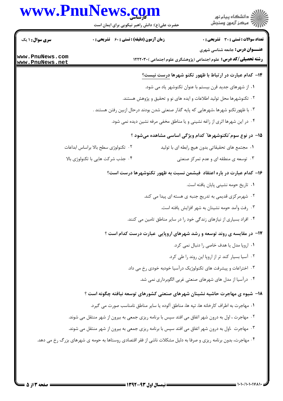## www.PnuNews.com

**سری سوال : ۱ یک** 

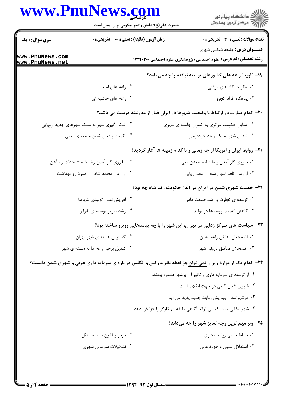| www.PnuNews.com                    | حضرت علی(ع): دانش راهبر نیکویی برای ایمان است                                                                              | ِ<br>∭ دانشڪاه پيام نور<br>∭ مرڪز آزمون وسنڊش                                                                   |  |
|------------------------------------|----------------------------------------------------------------------------------------------------------------------------|-----------------------------------------------------------------------------------------------------------------|--|
| <b>سری سوال : ۱ یک</b>             | <b>زمان آزمون (دقیقه) : تستی : 60 ٪ تشریحی : 0</b>                                                                         | <b>تعداد سوالات : تستی : 30 ٪ تشریحی : 0</b>                                                                    |  |
| www.PnuNews.com<br>www.PnuNews.net |                                                                                                                            | <b>عنـــوان درس:</b> جامعه شناسی شهری<br><b>رشته تحصیلی/کد درس:</b> علوم اجتماعی (پژوهشگری علوم اجتماعی )۲۲۲۰۳۰ |  |
|                                    |                                                                                                                            | ۱۹- "لوید" زاغه های کشورهای توسعه نیافته را چه می نامد؟                                                         |  |
|                                    | ۰۲ زاغه های امید                                                                                                           | ۰۱ سکونت گاه های موقتی                                                                                          |  |
|                                    | ۰۴ زاغه های حاشیه ای                                                                                                       | ۰۳ پناهگاه افراد کجرو                                                                                           |  |
|                                    |                                                                                                                            | +۲- کدام عبارت در ارتباط با وضعیت شهرها در ایران قبل از مدرنیته درست می باشد؟                                   |  |
|                                    | ۰۲ شکل گیری شهر به سبک شهرهای جدید اروپایی                                                                                 | ٠١. تمايل حكومت مركزي به كنترل جامعه ي شهري                                                                     |  |
|                                    | ۰۴ تقویت و فعال شدن جامعه ی مدنی                                                                                           | ۰۳ تبدیل شهر به یک واحد خودفرمان                                                                                |  |
|                                    |                                                                                                                            | <b>۲۱</b> - روابط ایران و امریکا از چه زمانی و با کدام زمینه ها آغاز گردید؟                                     |  |
|                                    | ۰۲ با روی کار آمدن رضا شاه –احداث راه آهن                                                                                  | ٠١ با روى كار أمدن رضا شاه- معدن يابي                                                                           |  |
|                                    | ۰۴ از زمان محمد شاه – آموزش و بهداشت                                                                                       | ۰۳ از زمان ناصرالدین شاه – معدن یابی                                                                            |  |
|                                    |                                                                                                                            | <b>۲۲</b> - خصلت شهری شدن در ایران در آغاز حکومت رضا شاه چه بود؟                                                |  |
|                                    | ۲. افزایش نقش تولیدی شهرها                                                                                                 | ۰۱ توسعه ی تجارت و رشد صنعت مادر                                                                                |  |
|                                    | ۰۴ رشد نابرابر توسعه ی نابرابر                                                                                             | ۰۳ کاهش اهمیت روستاها در تولید                                                                                  |  |
|                                    |                                                                                                                            | ۲۳- سیاست های تمرکز زدایی در تهران، این شهر را با چه پیامدهایی روبرو ساخته بود؟                                 |  |
|                                    | ۰۲ گسترش هسته ی شهر تهران                                                                                                  | ٠١ اضمحلال مناطق زاغه نشين                                                                                      |  |
|                                    | ۴. تبدیل برخی زاغه ها به هسته ی شهر                                                                                        | ۰۳ اضمحلال مناطق درونی شهر                                                                                      |  |
|                                    | <b>۳۴</b> - کدام یک از موارد زیر را <u>نمی توان</u> جز نقطه نظر مارکس و انگلس در باره ی سرمایه داری غربی و شهری شدن دانست؟ |                                                                                                                 |  |
|                                    |                                                                                                                            | ۰۱ از توسعه ی سرمایه داری و تاثیر آن برشهرخشنود بودند.                                                          |  |
|                                    |                                                                                                                            | ۰۲ شهری شدن گامی در جهت انقلاب است.                                                                             |  |
|                                    |                                                                                                                            | ۰۳ درشهرامکان پیدایش روابط جدید پدید می آید.                                                                    |  |
|                                    |                                                                                                                            | ۰۴ شهر مکانی است که می تواند آگاهی طبقه ی کارگر را افزایش دهد.                                                  |  |
|                                    |                                                                                                                            | ۲۵- وبر مهم ترین وجه تمایز شهر را چه میداند؟                                                                    |  |
|                                    | ۰۲ دربار و قانون نسبتامستقل                                                                                                | ٠١ تسلط نسبي روابط تجاري                                                                                        |  |
|                                    | ۰۴ تشکیلات سازمانی شهری                                                                                                    | ۰۳ استقلال نسبی و خودفرمانی                                                                                     |  |